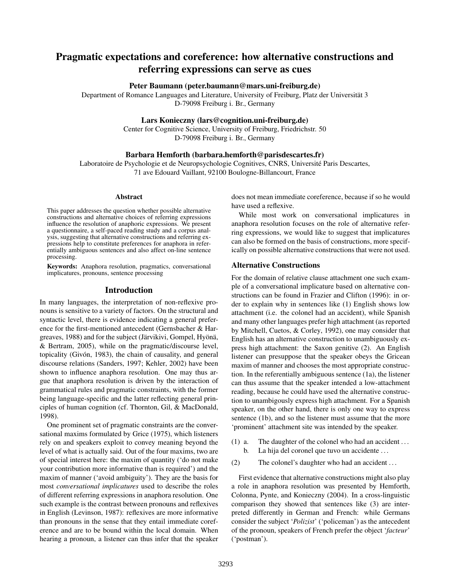# Pragmatic expectations and coreference: how alternative constructions and referring expressions can serve as cues

# Peter Baumann (peter.baumann@mars.uni-freiburg.de)

Department of Romance Languages and Literature, University of Freiburg, Platz der Universität 3 D-79098 Freiburg i. Br., Germany

## Lars Konieczny (lars@cognition.uni-freiburg.de)

Center for Cognitive Science, University of Freiburg, Friedrichstr. 50 D-79098 Freiburg i. Br., Germany

#### Barbara Hemforth (barbara.hemforth@parisdescartes.fr)

Laboratoire de Psychologie et de Neuropsychologie Cognitives, CNRS, Université Paris Descartes, 71 ave Edouard Vaillant, 92100 Boulogne-Billancourt, France

#### Abstract

This paper addresses the question whether possible alternative constructions and alternative choices of referring expressions influence the resolution of anaphoric expressions. We present a questionnaire, a self-paced reading study and a corpus analysis, suggesting that alternative constructions and referring expressions help to constitute preferences for anaphora in referentially ambiguous sentences and also affect on-line sentence processing.

Keywords: Anaphora resolution, pragmatics, conversational implicatures, pronouns, sentence processing

#### Introduction

In many languages, the interpretation of non-reflexive pronouns is sensitive to a variety of factors. On the structural and syntactic level, there is evidence indicating a general preference for the first-mentioned antecedent [\(Gernsbacher & Har](#page-5-0)[greaves,](#page-5-0) [1988\)](#page-5-0) and for the subject [\(Järvikivi, Gompel, Hyönä,](#page-5-1) [& Bertram,](#page-5-1) [2005\)](#page-5-1), while on the pragmatic/discourse level, topicality [\(Givón,](#page-5-2) [1983\)](#page-5-2), the chain of causality, and general discourse relations [\(Sanders,](#page-5-3) [1997;](#page-5-3) [Kehler,](#page-5-4) [2002\)](#page-5-4) have been shown to influence anaphora resolution. One may thus argue that anaphora resolution is driven by the interaction of grammatical rules and pragmatic constraints, with the former being language-specific and the latter reflecting general principles of human cognition (cf. [Thornton, Gil, & MacDonald,](#page-5-5) [1998\)](#page-5-5).

One prominent set of pragmatic constraints are the conversational maxims formulated by [Grice](#page-5-6) [\(1975\)](#page-5-6), which listeners rely on and speakers exploit to convey meaning beyond the level of what is actually said. Out of the four maxims, two are of special interest here: the maxim of quantity ('do not make your contribution more informative than is required') and the maxim of manner ('avoid ambiguity'). They are the basis for most *conversational implicatures* used to describe the roles of different referring expressions in anaphora resolution. One such example is the contrast between pronouns and reflexives in English [\(Levinson,](#page-5-7) [1987\)](#page-5-7): reflexives are more informative than pronouns in the sense that they entail immediate coreference and are to be bound within the local domain. When hearing a pronoun, a listener can thus infer that the speaker does not mean immediate coreference, because if so he would have used a reflexive.

While most work on conversational implicatures in anaphora resolution focuses on the role of alternative referring expressions, we would like to suggest that implicatures can also be formed on the basis of constructions, more specifically on possible alternative constructions that were not used.

# Alternative Constructions

For the domain of relative clause attachment one such example of a conversational implicature based on alternative constructions can be found in [Frazier and Clifton](#page-5-8) [\(1996\)](#page-5-8): in order to explain why in sentences like [\(1\)](#page-0-0) English shows low attachment (i.e. the colonel had an accident), while Spanish and many other languages prefer high attachment (as reported by [Mitchell, Cuetos, & Corley,](#page-5-9) [1992\)](#page-5-9), one may consider that English has an alternative construction to unambiguously express high attachment: the Saxon genitive [\(2\).](#page-0-1) An English listener can presuppose that the speaker obeys the Gricean maxim of manner and chooses the most appropriate construction. In the referentially ambiguous sentence [\(1a\),](#page-0-2) the listener can thus assume that the speaker intended a low-attachment reading, because he could have used the alternative construction to unambigously express high attachment. For a Spanish speaker, on the other hand, there is only one way to express sentence [\(1b\),](#page-0-3) and so the listener must assume that the more 'prominent' attachment site was intended by the speaker.

- <span id="page-0-3"></span><span id="page-0-2"></span><span id="page-0-0"></span>(1) a. The daughter of the colonel who had an accident . . . b. La hija del coronel que tuvo un accidente ...
- <span id="page-0-1"></span>(2) The colonel's daughter who had an accident . . .

<span id="page-0-4"></span>First evidence that alternative constructions might also play a role in anaphora resolution was presented by [Hemforth,](#page-5-10) [Colonna, Pynte, and Konieczny](#page-5-10) [\(2004\)](#page-5-10). In a cross-linguistic comparison they showed that sentences like [\(3\)](#page-0-4) are interpreted differently in German and French: while Germans consider the subject '*Polizist*' ('policeman') as the antecedent of the pronoun, speakers of French prefer the object '*facteur*' ('postman').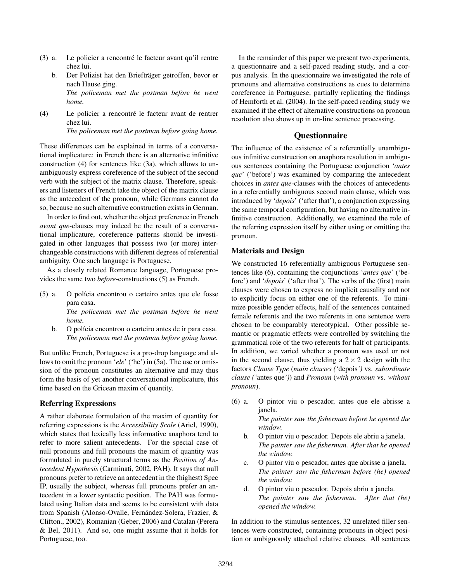- <span id="page-1-1"></span>(3) a. Le policier a rencontré le facteur avant qu'il rentre chez lui.
	- b. Der Polizist hat den Briefträger getroffen, bevor er nach Hause ging. *The policeman met the postman before he went home.*
- <span id="page-1-0"></span>(4) Le policier a rencontré le facteur avant de rentrer chez lui. *The policeman met the postman before going home.*

These differences can be explained in terms of a conversational implicature: in French there is an alternative infinitive construction [\(4\)](#page-1-0) for sentences like [\(3a\),](#page-1-1) which allows to unambiguously express coreference of the subject of the second verb with the subject of the matrix clause. Therefore, speakers and listeners of French take the object of the matrix clause as the antecedent of the pronoun, while Germans cannot do so, because no such alternative construction exists in German.

In order to find out, whether the object preference in French *avant que*-clauses may indeed be the result of a conversational implicature, coreference patterns should be investigated in other languages that possess two (or more) interchangeable constructions with different degrees of referential ambiguity. One such language is Portuguese.

As a closely related Romance language, Portuguese provides the same two *before*-constructions [\(5\)](#page-1-2) as French.

- <span id="page-1-3"></span>(5) a. O polícia encontrou o carteiro antes que ele fosse para casa. *The policeman met the postman before he went*
	- *home.* b. O polícia encontrou o carteiro antes de ir para casa. *The policeman met the postman before going home.*

But unlike French, Portuguese is a pro-drop language and allows to omit the pronoun '*ele*' ('he') in [\(5a\).](#page-1-3) The use or omission of the pronoun constitutes an alternative and may thus form the basis of yet another conversational implicature, this time based on the Gricean maxim of quantity.

# Referring Expressions

A rather elaborate formulation of the maxim of quantity for referring expressions is the *Accessibility Scale* [\(Ariel,](#page-5-11) [1990\)](#page-5-11), which states that lexically less informative anaphora tend to refer to more salient antecedents. For the special case of null pronouns and full pronouns the maxim of quantity was formulated in purely structural terms as the *Position of Antecedent Hypothesis* [\(Carminati,](#page-5-12) [2002,](#page-5-12) PAH). It says that null pronouns prefer to retrieve an antecedent in the (highest) Spec IP, usually the subject, whereas full pronouns prefer an antecedent in a lower syntactic position. The PAH was formulated using Italian data and seems to be consistent with data from Spanish [\(Alonso-Ovalle, Fernández-Solera, Frazier, &](#page-5-13) [Clifton.,](#page-5-13) [2002\)](#page-5-13), Romanian [\(Geber,](#page-5-14) [2006\)](#page-5-14) and Catalan [\(Perera](#page-5-15) [& Bel,](#page-5-15) [2011\)](#page-5-15). And so, one might assume that it holds for Portuguese, too.

In the remainder of this paper we present two experiments, a questionnaire and a self-paced reading study, and a corpus analysis. In the questionnaire we investigated the role of pronouns and alternative constructions as cues to determine coreference in Portuguese, partially replicating the findings of [Hemforth et al.](#page-5-10) [\(2004\)](#page-5-10). In the self-paced reading study we examined if the effect of alternative constructions on pronoun resolution also shows up in on-line sentence processing.

# **Ouestionnaire**

The influence of the existence of a referentially unambiguous infinitive construction on anaphora resolution in ambiguous sentences containing the Portuguese conjunction '*antes que*' ('before') was examined by comparing the antecedent choices in *antes que*-clauses with the choices of antecedents in a referentially ambiguous second main clause, which was introduced by '*depois*' ('after that'), a conjunction expressing the same temporal configuration, but having no alternative infinitive construction. Additionally, we examined the role of the referring expression itself by either using or omitting the pronoun.

# Materials and Design

<span id="page-1-2"></span>We constructed 16 referentially ambiguous Portuguese sentences like [\(6\),](#page-1-4) containing the conjunctions '*antes que*' ('before') and '*depois*' ('after that'). The verbs of the (first) main clauses were chosen to express no implicit causality and not to explicitly focus on either one of the referents. To minimize possible gender effects, half of the sentences contained female referents and the two referents in one sentence were chosen to be comparably stereotypical. Other possible semantic or pragmatic effects were controlled by switching the grammatical role of the two referents for half of participants. In addition, we varied whether a pronoun was used or not in the second clause, thus yielding a  $2 \times 2$  design with the factors *Clause Type* (*main clauses ('*depois*')* vs. *subordinate clause ('*antes que*')*) and *Pronoun* (*with pronoun* vs. *without pronoun*).

- <span id="page-1-4"></span>(6) a. O pintor viu o pescador, antes que ele abrisse a janela. *The painter saw the fisherman before he opened the window.*
	- b. O pintor viu o pescador. Depois ele abriu a janela. *The painter saw the fisherman. After that he opened the window.*
	- c. O pintor viu o pescador, antes que abrisse a janela. *The painter saw the fisherman before (he) opened the window.*
	- d. O pintor viu o pescador. Depois abriu a janela. *The painter saw the fisherman. After that (he) opened the window.*

In addition to the stimulus sentences, 32 unrelated filler sentences were constructed, containing pronouns in object position or ambiguously attached relative clauses. All sentences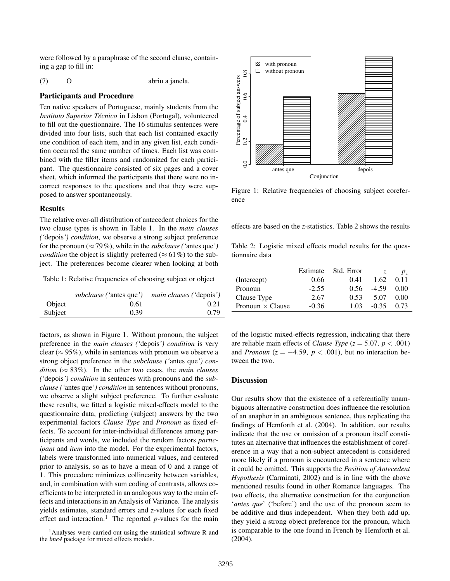were followed by a paraphrase of the second clause, containing a gap to fill in:

(7) O abriu a janela.

#### Participants and Procedure

Ten native speakers of Portuguese, mainly students from the *Instituto Superior Técnico* in Lisbon (Portugal), volunteered to fill out the questionnaire. The 16 stimulus sentences were divided into four lists, such that each list contained exactly one condition of each item, and in any given list, each condition occurred the same number of times. Each list was combined with the filler items and randomized for each participant. The questionnaire consisted of six pages and a cover sheet, which informed the participants that there were no incorrect responses to the questions and that they were supposed to answer spontaneously.

#### Results

The relative over-all distribution of antecedent choices for the two clause types is shown in [Table](#page-2-0) [1.](#page-2-0) In the *main clauses ('*depois*') condition*, we observe a strong subject preference for the pronoun ( $\approx$  79%), while in the *subclause* ('antes que') *condition* the object is slightly preferred ( $\approx 61\%$ ) to the subject. The preferences become clearer when looking at both

<span id="page-2-0"></span>Table 1: Relative frequencies of choosing subject or object

|         | <i>subclause</i> ('antes que') | <i>main clauses</i> ('depois') |
|---------|--------------------------------|--------------------------------|
| Object  | 0.61                           | 0.21                           |
| Subject | 0.39                           | 0.79                           |

factors, as shown in [Figure](#page-2-1) [1.](#page-2-1) Without pronoun, the subject preference in the *main clauses ('*depois*') condition* is very clear ( $\approx$  95%), while in sentences with pronoun we observe a strong object preference in the *subclause ('*antes que*') condition* ( $\approx 83\%$ ). In the other two cases, the *main clauses ('*depois*') condition* in sentences with pronouns and the *subclause ('*antes que*') condition* in sentences without pronouns, we observe a slight subject preference. To further evaluate these results, we fitted a logistic mixed-effects model to the questionnaire data, predicting (subject) answers by the two experimental factors *Clause Type* and *Pronoun* as fixed effects. To account for inter-individual differences among participants and words, we included the random factors *participant* and *item* into the model. For the experimental factors, labels were transformed into numerical values, and centered prior to analysis, so as to have a mean of 0 and a range of 1. This procedure minimizes collinearity between variables, and, in combination with sum coding of contrasts, allows coefficients to be interpreted in an analogous way to the main effects and interactions in an Analysis of Variance. The analysis yields estimates, standard errors and *z*-values for each fixed effect and interaction.<sup>[1](#page-2-2)</sup> The reported  $p$ -values for the main

<span id="page-2-1"></span>

Figure 1: Relative frequencies of choosing subject coreference

effects are based on the *z*-statistics. [Table](#page-2-3) [2](#page-2-3) shows the results

<span id="page-2-3"></span>Table 2: Logistic mixed effects model results for the questionnaire data

|                         | Estimate | Std. Error |         | $p_z$ |
|-------------------------|----------|------------|---------|-------|
| (Intercept)             | 0.66     | 0.41       | 1.62    | 0.11  |
| Pronoun                 | $-2.55$  | 0.56       | $-4.59$ | 0.00  |
| Clause Type             | 2.67     | 0.53       | 5.07    | 0.00  |
| Pronoun $\times$ Clause | $-0.36$  | 1.03       | $-0.35$ | 0.73  |

of the logistic mixed-effects regression, indicating that there are reliable main effects of *Clause Type* ( $z = 5.07$ ,  $p < .001$ ) and *Pronoun* ( $z = -4.59$ ,  $p < .001$ ), but no interaction between the two.

## **Discussion**

Our results show that the existence of a referentially unambiguous alternative construction does influence the resolution of an anaphor in an ambiguous sentence, thus replicating the findings of [Hemforth et al.](#page-5-10) [\(2004\)](#page-5-10). In addition, our results indicate that the use or omission of a pronoun itself constitutes an alternative that influences the establishment of coreference in a way that a non-subject antecedent is considered more likely if a pronoun is encountered in a sentence where it could be omitted. This supports the *Position of Antecedent Hypothesis* [\(Carminati,](#page-5-12) [2002\)](#page-5-12) and is in line with the above mentioned results found in other Romance languages. The two effects, the alternative construction for the conjunction '*antes que*' ('before') and the use of the pronoun seem to be additive and thus independent. When they both add up, they yield a strong object preference for the pronoun, which is comparable to the one found in French by [Hemforth et al.](#page-5-10) [\(2004\)](#page-5-10).

<span id="page-2-2"></span><sup>&</sup>lt;sup>1</sup>Analyses were carried out using the statistical software R and the *lme4* package for mixed effects models.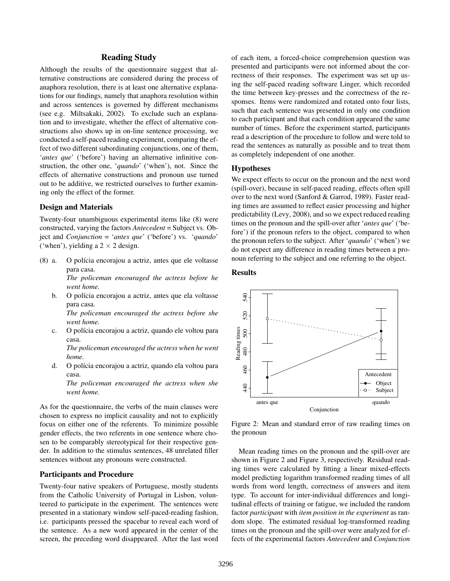# Reading Study

Although the results of the questionnaire suggest that alternative constructions are considered during the process of anaphora resolution, there is at least one alternative explanations for our findings, namely that anaphora resolution within and across sentences is governed by different mechanisms (see e.g. [Miltsakaki,](#page-5-16) [2002\)](#page-5-16). To exclude such an explanation and to investigate, whether the effect of alternative constructions also shows up in on-line sentence processing, we conducted a self-paced reading experiment, comparing the effect of two different subordinating conjunctions, one of them, '*antes que*' ('before') having an alternative infinitive construction, the other one, '*quando*' ('when'), not. Since the effects of alternative constructions and pronoun use turned out to be additive, we restricted ourselves to further examining only the effect of the former.

#### Design and Materials

Twenty-four unambiguous experimental items like [\(8\)](#page-3-0) were constructed, varying the factors *Antecedent* = Subject vs. Object and *Conjunction* = '*antes que*' ('before') vs. '*quando*' ('when'), yielding a  $2 \times 2$  design.

(8) a. O polícia encorajou a actriz, antes que ele voltasse para casa.

> <span id="page-3-0"></span>*The policeman encouraged the actress before he went home.*

b. O polícia encorajou a actriz, antes que ela voltasse para casa.

*The policeman encouraged the actress before she went home.*

c. O polícia encorajou a actriz, quando ele voltou para casa.

*The policeman encouraged the actress when he went home.*

d. O polícia encorajou a actriz, quando ela voltou para casa.

*The policeman encouraged the actress when she went home.*

As for the questionnaire, the verbs of the main clauses were chosen to express no implicit causality and not to explicitly focus on either one of the referents. To minimize possible gender effects, the two referents in one sentence where chosen to be comparably stereotypical for their respective gender. In addition to the stimulus sentences, 48 unrelated filler sentences without any pronouns were constructed.

#### Participants and Procedure

Twenty-four native speakers of Portuguese, mostly students from the Catholic University of Portugal in Lisbon, volunteered to participate in the experiment. The sentences were presented in a stationary window self-paced-reading fashion, i.e. participants pressed the spacebar to reveal each word of the sentence. As a new word appeared in the center of the screen, the preceding word disappeared. After the last word of each item, a forced-choice comprehension question was presented and participants were not informed about the correctness of their responses. The experiment was set up using the self-paced reading software Linger, which recorded the time between key-presses and the correctness of the responses. Items were randomized and rotated onto four lists, such that each sentence was presented in only one condition to each participant and that each condition appeared the same number of times. Before the experiment started, participants read a description of the procedure to follow and were told to read the sentences as naturally as possible and to treat them as completely independent of one another.

# Hypotheses

We expect effects to occur on the pronoun and the next word (spill-over), because in self-paced reading, effects often spill over to the next word [\(Sanford & Garrod,](#page-5-17) [1989\)](#page-5-17). Faster reading times are assumed to reflect easier processing and higher predictability [\(Levy,](#page-5-18) [2008\)](#page-5-18), and so we expect reduced reading times on the pronoun and the spill-over after '*antes que*' ('before') if the pronoun refers to the object, compared to when the pronoun refers to the subject. After '*quando*' ('when') we do not expect any difference in reading times between a pronoun referring to the subject and one referring to the object.

#### Results

<span id="page-3-1"></span>

Figure 2: Mean and standard error of raw reading times on the pronoun

Mean reading times on the pronoun and the spill-over are shown in [Figure](#page-3-1) [2](#page-3-1) and [Figure](#page-4-0) [3,](#page-4-0) respectively. Residual reading times were calculated by fitting a linear mixed-effects model predicting logarithm transformed reading times of all words from word length, correctness of answers and item type. To account for inter-individual differences and longitudinal effects of training or fatigue, we included the random factor *participant* with *item position in the experiment* as random slope. The estimated residual log-transformed reading times on the pronoun and the spill-over were analyzed for effects of the experimental factors *Antecedent* and *Conjunction*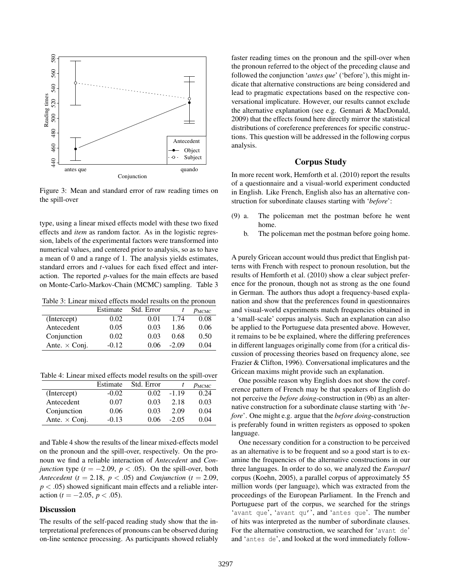<span id="page-4-0"></span>

Figure 3: Mean and standard error of raw reading times on the spill-over

type, using a linear mixed effects model with these two fixed effects and *item* as random factor. As in the logistic regression, labels of the experimental factors were transformed into numerical values, and centered prior to analysis, so as to have a mean of 0 and a range of 1. The analysis yields estimates, standard errors and *t*-values for each fixed effect and interaction. The reported *p*-values for the main effects are based on Monte-Carlo-Markov-Chain (MCMC) sampling. [Table](#page-4-1) [3](#page-4-1)

<span id="page-4-1"></span>Table 3: Linear mixed effects model results on the pronoun

|                      | Estimate | Std. Error |         | $p_{\text{MCMC}}$ |
|----------------------|----------|------------|---------|-------------------|
| (Intercept)          | 0.02     | 0.01       | 1.74    | 0.08              |
| Antecedent           | 0.05     | 0.03       | 1.86    | 0.06              |
| Conjunction          | 0.02     | 0.03       | 0.68    | 0.50              |
| Ante. $\times$ Conj. | $-0.12$  | 0.06       | $-2.09$ | 0.04              |

<span id="page-4-2"></span>Table 4: Linear mixed effects model results on the spill-over

|                      | Estimate | Std. Error |         | $p_{\text{MCMC}}$ |
|----------------------|----------|------------|---------|-------------------|
| (Intercept)          | $-0.02$  | 0.02       | $-1.19$ | 0.24              |
| Antecedent           | 0.07     | 0.03       | 2.18    | 0.03              |
| Conjunction          | 0.06     | 0.03       | 2.09    | 0.04              |
| Ante. $\times$ Conj. | $-0.13$  | 0.06       | $-2.05$ | 0.04              |

and [Table](#page-4-2) [4](#page-4-2) show the results of the linear mixed-effects model on the pronoun and the spill-over, respectively. On the pronoun we find a reliable interaction of *Antecedent* and *Conjunction* type  $(t = -2.09, p < .05)$ . On the spill-over, both *Antecedent* ( $t = 2.18$ ,  $p < .05$ ) and *Conjunction* ( $t = 2.09$ ,  $p < .05$ ) showed significant main effects and a reliable interaction ( $t = -2.05$ ,  $p < .05$ ).

## **Discussion**

The results of the self-paced reading study show that the interpretational preferences of pronouns can be observed during on-line sentence processing. As participants showed reliably faster reading times on the pronoun and the spill-over when the pronoun referred to the object of the preceding clause and followed the conjunction '*antes que*' ('before'), this might indicate that alternative constructions are being considered and lead to pragmatic expectations based on the respective conversational implicature. However, our results cannot exclude the alternative explanation (see e.g. [Gennari & MacDonald,](#page-5-19) [2009\)](#page-5-19) that the effects found here directly mirror the statistical distributions of coreference preferences for specific constructions. This question will be addressed in the following corpus analysis.

# Corpus Study

In more recent work, [Hemforth et al.](#page-5-20) [\(2010\)](#page-5-20) report the results of a questionnaire and a visual-world experiment conducted in English. Like French, English also has an alternative construction for subordinate clauses starting with '*before*':

- <span id="page-4-3"></span>(9) a. The policeman met the postman before he went home.
	- b. The policeman met the postman before going home.

A purely Gricean account would thus predict that English patterns with French with respect to pronoun resolution, but the results of [Hemforth et al.](#page-5-20) [\(2010\)](#page-5-20) show a clear subject preference for the pronoun, though not as strong as the one found in German. The authors thus adopt a frequency-based explanation and show that the preferences found in questionnaires and visual-world experiments match frequencies obtained in a 'small-scale' corpus analysis. Such an explanation can also be applied to the Portuguese data presented above. However, it remains to be be explained, where the differing preferences in different languages originally come from (for a critical discussion of processing theories based on frequency alone, see [Frazier & Clifton,](#page-5-8) [1996\)](#page-5-8). Conversational implicatures and the Gricean maxims might provide such an explanation.

One possible reason why English does not show the coreference pattern of French may be that speakers of English do not perceive the *before doing*-construction in [\(9b\)](#page-4-3) as an alternative construction for a subordinate clause starting with '*before*'. One might e.g. argue that the *before doing*-construction is preferably found in written registers as opposed to spoken language.

One necessary condition for a construction to be perceived as an alternative is to be frequent and so a good start is to examine the frequencies of the alternative constructions in our three languages. In order to do so, we analyzed the *Europarl* corpus [\(Koehn,](#page-5-21) [2005\)](#page-5-21), a parallel corpus of approximately 55 million words (per language), which was extracted from the proceedings of the European Parliament. In the French and Portuguese part of the corpus, we searched for the strings 'avant que', 'avant qu'', and 'antes que'. The number of hits was interpreted as the number of subordinate clauses. For the alternative construction, we searched for 'avant de' and 'antes de', and looked at the word immediately follow